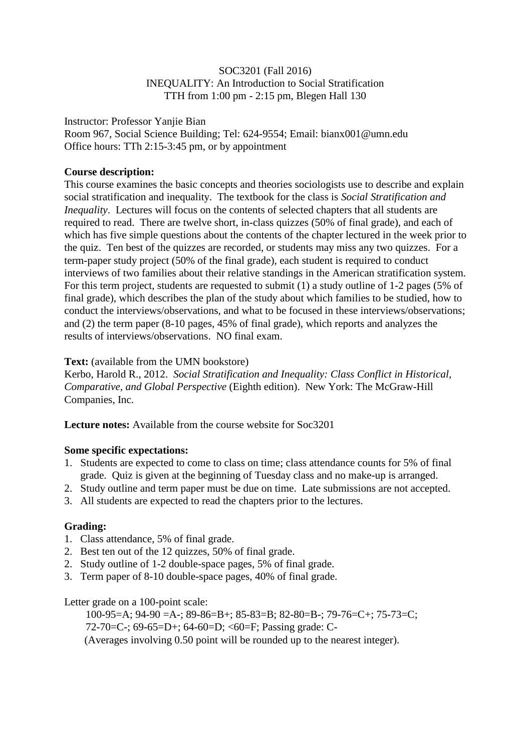## SOC3201 (Fall 2016) INEQUALITY: An Introduction to Social Stratification TTH from 1:00 pm - 2:15 pm, Blegen Hall 130

Instructor: Professor Yanjie Bian

Room 967, Social Science Building; Tel: 624-9554; Email: bianx001@umn.edu Office hours: TTh 2:15-3:45 pm, or by appointment

# **Course description:**

This course examines the basic concepts and theories sociologists use to describe and explain social stratification and inequality. The textbook for the class is *Social Stratification and Inequality*. Lectures will focus on the contents of selected chapters that all students are required to read. There are twelve short, in-class quizzes (50% of final grade), and each of which has five simple questions about the contents of the chapter lectured in the week prior to the quiz. Ten best of the quizzes are recorded, or students may miss any two quizzes. For a term-paper study project (50% of the final grade), each student is required to conduct interviews of two families about their relative standings in the American stratification system. For this term project, students are requested to submit (1) a study outline of 1-2 pages (5% of final grade), which describes the plan of the study about which families to be studied, how to conduct the interviews/observations, and what to be focused in these interviews/observations; and (2) the term paper (8-10 pages, 45% of final grade), which reports and analyzes the results of interviews/observations. NO final exam.

## Text: (available from the UMN bookstore)

Kerbo, Harold R., 2012. *Social Stratification and Inequality: Class Conflict in Historical, Comparative, and Global Perspective* (Eighth edition). New York: The McGraw-Hill Companies, Inc.

**Lecture notes:** Available from the course website for Soc3201

## **Some specific expectations:**

- 1. Students are expected to come to class on time; class attendance counts for 5% of final grade. Quiz is given at the beginning of Tuesday class and no make-up is arranged.
- 2. Study outline and term paper must be due on time. Late submissions are not accepted.
- 3. All students are expected to read the chapters prior to the lectures.

# **Grading:**

- 1. Class attendance, 5% of final grade.
- 2. Best ten out of the 12 quizzes, 50% of final grade.
- 2. Study outline of 1-2 double-space pages, 5% of final grade.
- 3. Term paper of 8-10 double-space pages, 40% of final grade.

## Letter grade on a 100-point scale:

100-95=A; 94-90 =A-; 89-86=B+; 85-83=B; 82-80=B-; 79-76=C+; 75-73=C; 72-70=C-; 69-65=D+; 64-60=D; <60=F; Passing grade: C- (Averages involving 0.50 point will be rounded up to the nearest integer).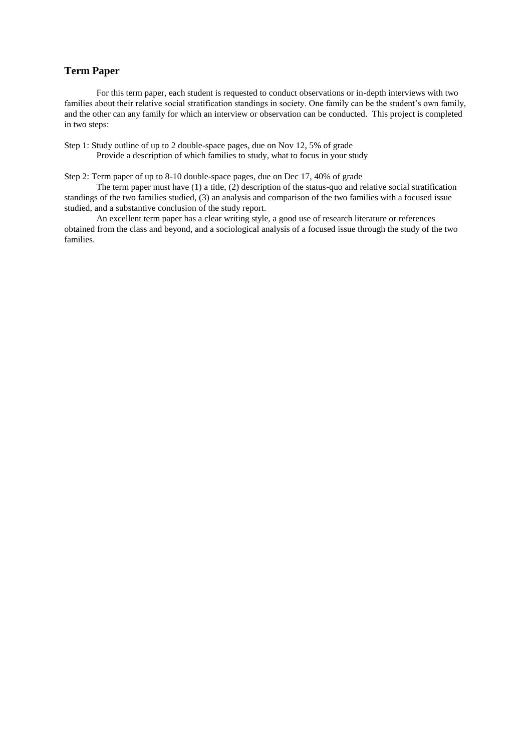#### **Term Paper**

For this term paper, each student is requested to conduct observations or in-depth interviews with two families about their relative social stratification standings in society. One family can be the student's own family, and the other can any family for which an interview or observation can be conducted. This project is completed in two steps:

Step 1: Study outline of up to 2 double-space pages, due on Nov 12, 5% of grade Provide a description of which families to study, what to focus in your study

Step 2: Term paper of up to 8-10 double-space pages, due on Dec 17, 40% of grade

The term paper must have (1) a title, (2) description of the status-quo and relative social stratification standings of the two families studied, (3) an analysis and comparison of the two families with a focused issue studied, and a substantive conclusion of the study report.

An excellent term paper has a clear writing style, a good use of research literature or references obtained from the class and beyond, and a sociological analysis of a focused issue through the study of the two families.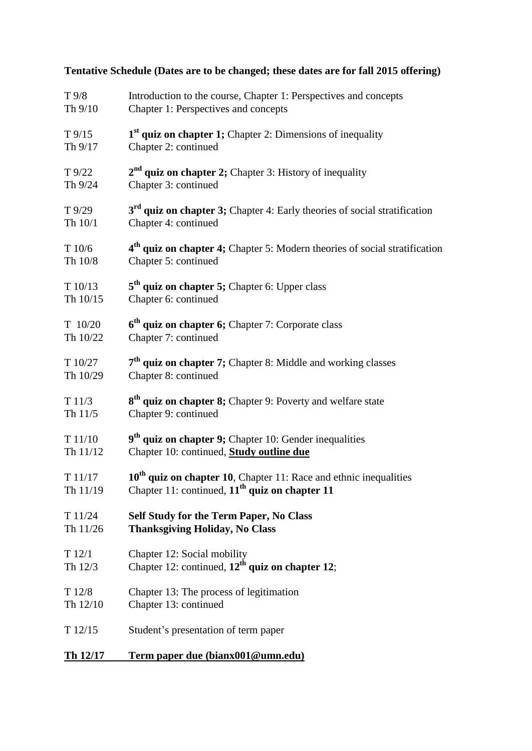| $T\frac{9}{8}$  | Introduction to the course, Chapter 1: Perspectives and concepts                       |
|-----------------|----------------------------------------------------------------------------------------|
| Th $9/10$       | Chapter 1: Perspectives and concepts                                                   |
| $T\frac{9}{15}$ | 1 <sup>st</sup> quiz on chapter 1; Chapter 2: Dimensions of inequality                 |
| Th 9/17         | Chapter 2: continued                                                                   |
| $T\frac{9}{22}$ | $2nd$ quiz on chapter 2; Chapter 3: History of inequality                              |
| Th 9/24         | Chapter 3: continued                                                                   |
| T 9/29          | $3rd$ quiz on chapter 3; Chapter 4: Early theories of social stratification            |
| Th 10/1         | Chapter 4: continued                                                                   |
| T10/6           | 4 <sup>th</sup> quiz on chapter 4; Chapter 5: Modern theories of social stratification |
| Th 10/8         | Chapter 5: continued                                                                   |
| T10/13          | $5th$ quiz on chapter 5; Chapter 6: Upper class                                        |
| Th 10/15        | Chapter 6: continued                                                                   |
| $T$ 10/20       | 6 <sup>th</sup> quiz on chapter 6; Chapter 7: Corporate class                          |
| Th 10/22        | Chapter 7: continued                                                                   |
| T 10/27         | $7th$ quiz on chapter 7; Chapter 8: Middle and working classes                         |
| Th 10/29        | Chapter 8: continued                                                                   |
| T11/3           | 8 <sup>th</sup> quiz on chapter 8; Chapter 9: Poverty and welfare state                |
| Th $11/5$       | Chapter 9: continued                                                                   |
| T 11/10         | 9 <sup>th</sup> quiz on chapter 9; Chapter 10: Gender inequalities                     |
| Th $11/12$      | Chapter 10: continued, <b>Study outline due</b>                                        |
| T 11/17         | $10th$ quiz on chapter 10, Chapter 11: Race and ethnic inequalities                    |
| Th 11/19        | Chapter 11: continued, $11th$ quiz on chapter 11                                       |
| T 11/24         | <b>Self Study for the Term Paper, No Class</b>                                         |
| Th 11/26        | <b>Thanksgiving Holiday, No Class</b>                                                  |
| T12/1           | Chapter 12: Social mobility                                                            |
| Th 12/3         | Chapter 12: continued, $12^{\text{th}}$ quiz on chapter 12;                            |
| T12/8           | Chapter 13: The process of legitimation                                                |
| Th 12/10        | Chapter 13: continued                                                                  |
| T12/15          | Student's presentation of term paper                                                   |
| Th 12/17        | <u>Term paper due (bianx001@umn.edu)</u>                                               |

**Tentative Schedule (Dates are to be changed; these dates are for fall 2015 offering)**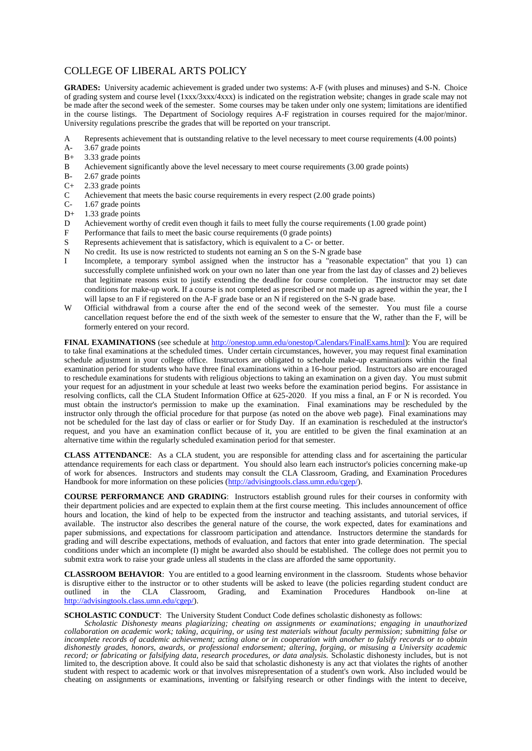## COLLEGE OF LIBERAL ARTS POLICY

**GRADES:** University academic achievement is graded under two systems: A-F (with pluses and minuses) and S-N. Choice of grading system and course level (1xxx/3xxx/4xxx) is indicated on the registration website; changes in grade scale may not be made after the second week of the semester. Some courses may be taken under only one system; limitations are identified in the course listings. The Department of Sociology requires A-F registration in courses required for the major/minor. University regulations prescribe the grades that will be reported on your transcript.

- A Represents achievement that is outstanding relative to the level necessary to meet course requirements (4.00 points)
- A- 3.67 grade points
- B+ 3.33 grade points
- B Achievement significantly above the level necessary to meet course requirements (3.00 grade points)
- B- 2.67 grade points
- C+ 2.33 grade points
- C Achievement that meets the basic course requirements in every respect (2.00 grade points)<br>C-1.67 grade points
- 1.67 grade points
- D+ 1.33 grade points
- D Achievement worthy of credit even though it fails to meet fully the course requirements (1.00 grade point)
- F Performance that fails to meet the basic course requirements (0 grade points)
- S Represents achievement that is satisfactory, which is equivalent to a C- or better.
- N No credit. Its use is now restricted to students not earning an S on the S-N grade base
- I Incomplete, a temporary symbol assigned when the instructor has a "reasonable expectation" that you 1) can successfully complete unfinished work on your own no later than one year from the last day of classes and 2) believes that legitimate reasons exist to justify extending the deadline for course completion. The instructor may set date conditions for make-up work. If a course is not completed as prescribed or not made up as agreed within the year, the I will lapse to an F if registered on the A-F grade base or an N if registered on the S-N grade base.
- W Official withdrawal from a course after the end of the second week of the semester. You must file a course cancellation request before the end of the sixth week of the semester to ensure that the W, rather than the F, will be formerly entered on your record.

**FINAL EXAMINATIONS** (see schedule at [http://onestop.umn.edu/onestop/Calendars/FinalExams.html\)](http://onestop.umn.edu/onestop/Calendars/FinalExams.html): You are required to take final examinations at the scheduled times. Under certain circumstances, however, you may request final examination schedule adjustment in your college office. Instructors are obligated to schedule make-up examinations within the final examination period for students who have three final examinations within a 16-hour period. Instructors also are encouraged to reschedule examinations for students with religious objections to taking an examination on a given day. You must submit your request for an adjustment in your schedule at least two weeks before the examination period begins. For assistance in resolving conflicts, call the CLA Student Information Office at 625-2020. If you miss a final, an F or N is recorded. You must obtain the instructor's permission to make up the examination. Final examinations may be rescheduled by the instructor only through the official procedure for that purpose (as noted on the above web page). Final examinations may not be scheduled for the last day of class or earlier or for Study Day. If an examination is rescheduled at the instructor's request, and you have an examination conflict because of it, you are entitled to be given the final examination at an alternative time within the regularly scheduled examination period for that semester.

**CLASS ATTENDANCE**: As a CLA student, you are responsible for attending class and for ascertaining the particular attendance requirements for each class or department. You should also learn each instructor's policies concerning make-up of work for absences. Instructors and students may consult the CLA Classroom, Grading, and Examination Procedures Handbook for more information on these policies [\(http://advisingtools.class.umn.edu/cgep/\)](http://advisingtools.class.umn.edu/cgep/).

**COURSE PERFORMANCE AND GRADING**: Instructors establish ground rules for their courses in conformity with their department policies and are expected to explain them at the first course meeting. This includes announcement of office hours and location, the kind of help to be expected from the instructor and teaching assistants, and tutorial services, if available. The instructor also describes the general nature of the course, the work expected, dates for examinations and paper submissions, and expectations for classroom participation and attendance. Instructors determine the standards for grading and will describe expectations, methods of evaluation, and factors that enter into grade determination. The special conditions under which an incomplete (I) might be awarded also should be established. The college does not permit you to submit extra work to raise your grade unless all students in the class are afforded the same opportunity.

**CLASSROOM BEHAVIOR**: You are entitled to a good learning environment in the classroom. Students whose behavior is disruptive either to the instructor or to other students will be asked to leave (the policies regarding student conduct are outlined in the CLA Classroom. Grading, and Examination Procedures Handbook on-line at outlined in the CLA Classroom, Grading, and Examination Procedures Handbook on-line at [http://advisingtools.class.umn.edu/cgep/\)](http://advisingtools.class.umn.edu/cgep/).

#### **SCHOLASTIC CONDUCT**: The University Student Conduct Code defines scholastic dishonesty as follows:

*Scholastic Dishonesty means plagiarizing; cheating on assignments or examinations; engaging in unauthorized collaboration on academic work; taking, acquiring, or using test materials without faculty permission; submitting false or incomplete records of academic achievement; acting alone or in cooperation with another to falsify records or to obtain dishonestly grades, honors, awards, or professional endorsement; altering, forging, or misusing a University academic record; or fabricating or falsifying data, research procedures, or data analysis.* Scholastic dishonesty includes, but is not limited to, the description above. It could also be said that scholastic dishonesty is any act that violates the rights of another student with respect to academic work or that involves misrepresentation of a student's own work. Also included would be cheating on assignments or examinations, inventing or falsifying research or other findings with the intent to deceive,